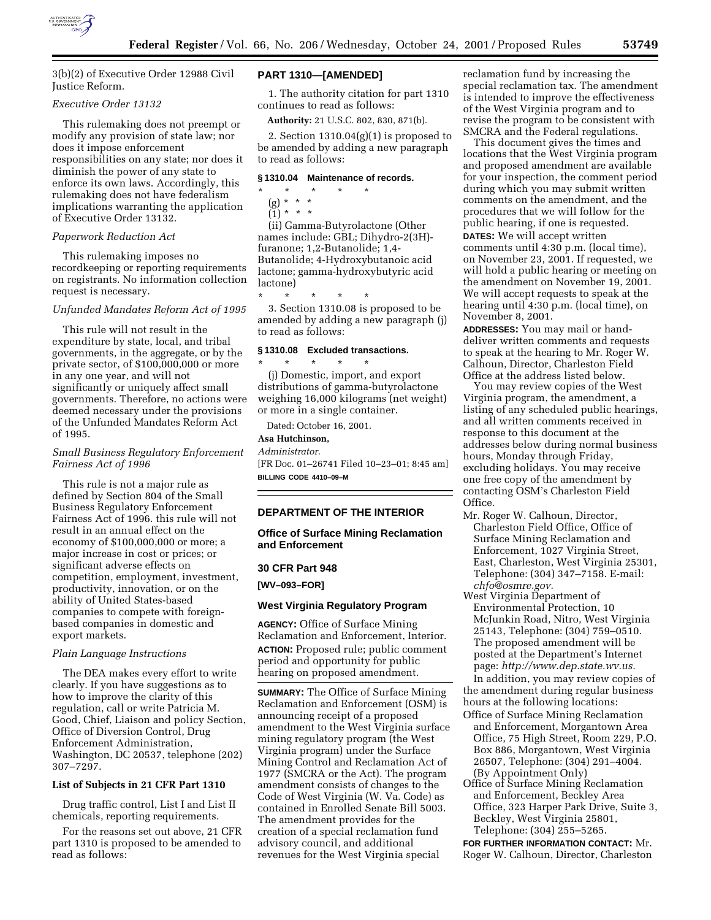

3(b)(2) of Executive Order 12988 Civil Justice Reform.

### *Executive Order 13132*

This rulemaking does not preempt or modify any provision of state law; nor does it impose enforcement responsibilities on any state; nor does it diminish the power of any state to enforce its own laws. Accordingly, this rulemaking does not have federalism implications warranting the application of Executive Order 13132.

### *Paperwork Reduction Act*

This rulemaking imposes no recordkeeping or reporting requirements on registrants. No information collection request is necessary.

### *Unfunded Mandates Reform Act of 1995*

This rule will not result in the expenditure by state, local, and tribal governments, in the aggregate, or by the private sector, of \$100,000,000 or more in any one year, and will not significantly or uniquely affect small governments. Therefore, no actions were deemed necessary under the provisions of the Unfunded Mandates Reform Act of 1995.

# *Small Business Regulatory Enforcement Fairness Act of 1996*

This rule is not a major rule as defined by Section 804 of the Small Business Regulatory Enforcement Fairness Act of 1996. this rule will not result in an annual effect on the economy of \$100,000,000 or more; a major increase in cost or prices; or significant adverse effects on competition, employment, investment, productivity, innovation, or on the ability of United States-based companies to compete with foreignbased companies in domestic and export markets.

### *Plain Language Instructions*

The DEA makes every effort to write clearly. If you have suggestions as to how to improve the clarity of this regulation, call or write Patricia M. Good, Chief, Liaison and policy Section, Office of Diversion Control, Drug Enforcement Administration, Washington, DC 20537, telephone (202) 307–7297.

### **List of Subjects in 21 CFR Part 1310**

Drug traffic control, List I and List II chemicals, reporting requirements.

For the reasons set out above, 21 CFR part 1310 is proposed to be amended to read as follows:

# **PART 1310—[AMENDED]**

1. The authority citation for part 1310 continues to read as follows:

**Authority:** 21 U.S.C. 802, 830, 871(b).

2. Section  $1310.04(g)(1)$  is proposed to be amended by adding a new paragraph to read as follows:

### **§ 1310.04 Maintenance of records.**

- \* \* \* \* \*
	- (g) \* \* \*  $(1) * * * *$

(ii) Gamma-Butyrolactone (Other names include: GBL; Dihydro-2(3H) furanone; 1,2-Butanolide; 1,4- Butanolide; 4-Hydroxybutanoic acid lactone; gamma-hydroxybutyric acid lactone)

\* \* \* \* \* 3. Section 1310.08 is proposed to be amended by adding a new paragraph (j) to read as follows:

# **§ 1310.08 Excluded transactions.**

\* \* \* \* \* (j) Domestic, import, and export distributions of gamma-butyrolactone weighing 16,000 kilograms (net weight) or more in a single container.

Dated: October 16, 2001.

# **Asa Hutchinson,**

*Administrator.*

[FR Doc. 01–26741 Filed 10–23–01; 8:45 am] **BILLING CODE 4410–09–M**

# **DEPARTMENT OF THE INTERIOR**

# **Office of Surface Mining Reclamation and Enforcement**

### **30 CFR Part 948**

**[WV–093–FOR]**

### **West Virginia Regulatory Program**

**AGENCY:** Office of Surface Mining Reclamation and Enforcement, Interior. **ACTION:** Proposed rule; public comment period and opportunity for public hearing on proposed amendment.

**SUMMARY:** The Office of Surface Mining Reclamation and Enforcement (OSM) is announcing receipt of a proposed amendment to the West Virginia surface mining regulatory program (the West Virginia program) under the Surface Mining Control and Reclamation Act of 1977 (SMCRA or the Act). The program amendment consists of changes to the Code of West Virginia (W. Va. Code) as contained in Enrolled Senate Bill 5003. The amendment provides for the creation of a special reclamation fund advisory council, and additional revenues for the West Virginia special

reclamation fund by increasing the special reclamation tax. The amendment is intended to improve the effectiveness of the West Virginia program and to revise the program to be consistent with SMCRA and the Federal regulations.

This document gives the times and locations that the West Virginia program and proposed amendment are available for your inspection, the comment period during which you may submit written comments on the amendment, and the procedures that we will follow for the public hearing, if one is requested. **DATES:** We will accept written comments until 4:30 p.m. (local time), on November 23, 2001. If requested, we will hold a public hearing or meeting on the amendment on November 19, 2001. We will accept requests to speak at the hearing until 4:30 p.m. (local time), on November 8, 2001.

**ADDRESSES:** You may mail or handdeliver written comments and requests to speak at the hearing to Mr. Roger W. Calhoun, Director, Charleston Field Office at the address listed below.

You may review copies of the West Virginia program, the amendment, a listing of any scheduled public hearings, and all written comments received in response to this document at the addresses below during normal business hours, Monday through Friday, excluding holidays. You may receive one free copy of the amendment by contacting OSM's Charleston Field Office.

- Mr. Roger W. Calhoun, Director, Charleston Field Office, Office of Surface Mining Reclamation and Enforcement, 1027 Virginia Street, East, Charleston, West Virginia 25301, Telephone: (304) 347–7158. E-mail: *chfo@osmre.gov.*
- West Virginia Department of Environmental Protection, 10 McJunkin Road, Nitro, West Virginia 25143, Telephone: (304) 759–0510. The proposed amendment will be posted at the Department's Internet page: *http://www.dep.state.wv.us.*

In addition, you may review copies of the amendment during regular business hours at the following locations:

- Office of Surface Mining Reclamation and Enforcement, Morgantown Area Office, 75 High Street, Room 229, P.O. Box 886, Morgantown, West Virginia 26507, Telephone: (304) 291–4004. (By Appointment Only)
- Office of Surface Mining Reclamation and Enforcement, Beckley Area Office, 323 Harper Park Drive, Suite 3, Beckley, West Virginia 25801, Telephone: (304) 255–5265.

**FOR FURTHER INFORMATION CONTACT:** Mr. Roger W. Calhoun, Director, Charleston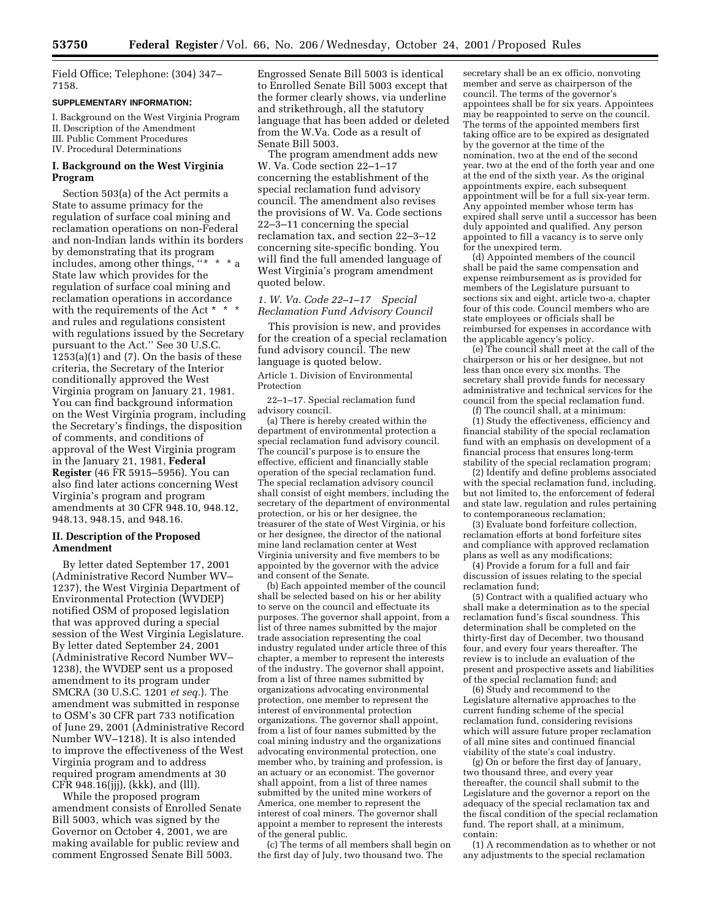Field Office; Telephone: (304) 347– 7158.

### **SUPPLEMENTARY INFORMATION:**

I. Background on the West Virginia Program II. Description of the Amendment III. Public Comment Procedures IV. Procedural Determinations

## **I. Background on the West Virginia Program**

Section 503(a) of the Act permits a State to assume primacy for the regulation of surface coal mining and reclamation operations on non-Federal and non-Indian lands within its borders by demonstrating that its program includes, among other things, ''\* \* \* a State law which provides for the regulation of surface coal mining and reclamation operations in accordance with the requirements of the Act  $*$ and rules and regulations consistent with regulations issued by the Secretary pursuant to the Act.'' See 30 U.S.C.  $1253(a)(1)$  and (7). On the basis of these criteria, the Secretary of the Interior conditionally approved the West Virginia program on January 21, 1981. You can find background information on the West Virginia program, including the Secretary's findings, the disposition of comments, and conditions of approval of the West Virginia program in the January 21, 1981, **Federal Register** (46 FR 5915–5956). You can also find later actions concerning West Virginia's program and program amendments at 30 CFR 948.10, 948.12, 948.13, 948.15, and 948.16.

# **II. Description of the Proposed Amendment**

By letter dated September 17, 2001 (Administrative Record Number WV– 1237), the West Virginia Department of Environmental Protection (WVDEP) notified OSM of proposed legislation that was approved during a special session of the West Virginia Legislature. By letter dated September 24, 2001 (Administrative Record Number WV– 1238), the WVDEP sent us a proposed amendment to its program under SMCRA (30 U.S.C. 1201 *et seq.*). The amendment was submitted in response to OSM's 30 CFR part 733 notification of June 29, 2001 (Administrative Record Number WV–1218). It is also intended to improve the effectiveness of the West Virginia program and to address required program amendments at 30 CFR 948.16(jjj), (kkk), and (lll).

While the proposed program amendment consists of Enrolled Senate Bill 5003, which was signed by the Governor on October 4, 2001, we are making available for public review and comment Engrossed Senate Bill 5003.

Engrossed Senate Bill 5003 is identical to Enrolled Senate Bill 5003 except that the former clearly shows, via underline and strikethrough, all the statutory language that has been added or deleted from the W.Va. Code as a result of Senate Bill 5003.

The program amendment adds new W. Va. Code section 22–1–17 concerning the establishment of the special reclamation fund advisory council. The amendment also revises the provisions of W. Va. Code sections 22–3–11 concerning the special reclamation tax, and section 22–3–12 concerning site-specific bonding. You will find the full amended language of West Virginia's program amendment quoted below.

# *1. W. Va. Code 22–1–17 Special Reclamation Fund Advisory Council*

This provision is new, and provides for the creation of a special reclamation fund advisory council. The new language is quoted below.

Article 1. Division of Environmental Protection

22–1–17. Special reclamation fund advisory council.

(a) There is hereby created within the department of environmental protection a special reclamation fund advisory council. The council's purpose is to ensure the effective, efficient and financially stable operation of the special reclamation fund. The special reclamation advisory council shall consist of eight members, including the secretary of the department of environmental protection, or his or her designee, the treasurer of the state of West Virginia, or his or her designee, the director of the national mine land reclamation center at West Virginia university and five members to be appointed by the governor with the advice and consent of the Senate.

(b) Each appointed member of the council shall be selected based on his or her ability to serve on the council and effectuate its purposes. The governor shall appoint, from a list of three names submitted by the major trade association representing the coal industry regulated under article three of this chapter, a member to represent the interests of the industry. The governor shall appoint, from a list of three names submitted by organizations advocating environmental protection, one member to represent the interest of environmental protection organizations. The governor shall appoint, from a list of four names submitted by the coal mining industry and the organizations advocating environmental protection, one member who, by training and profession, is an actuary or an economist. The governor shall appoint, from a list of three names submitted by the united mine workers of America, one member to represent the interest of coal miners. The governor shall appoint a member to represent the interests of the general public.

(c) The terms of all members shall begin on the first day of July, two thousand two. The

secretary shall be an ex officio, nonvoting member and serve as chairperson of the council. The terms of the governor's appointees shall be for six years. Appointees may be reappointed to serve on the council. The terms of the appointed members first taking office are to be expired as designated by the governor at the time of the nomination, two at the end of the second year, two at the end of the forth year and one at the end of the sixth year. As the original appointments expire, each subsequent appointment will be for a full six-year term. Any appointed member whose term has expired shall serve until a successor has been duly appointed and qualified. Any person appointed to fill a vacancy is to serve only for the unexpired term.

(d) Appointed members of the council shall be paid the same compensation and expense reimbursement as is provided for members of the Legislature pursuant to sections six and eight, article two-a, chapter four of this code. Council members who are state employees or officials shall be reimbursed for expenses in accordance with the applicable agency's policy.

(e) The council shall meet at the call of the chairperson or his or her designee, but not less than once every six months. The secretary shall provide funds for necessary administrative and technical services for the council from the special reclamation fund.

(f) The council shall, at a minimum: (1) Study the effectiveness, efficiency and financial stability of the special reclamation fund with an emphasis on development of a financial process that ensures long-term stability of the special reclamation program;

(2) Identify and define problems associated with the special reclamation fund, including, but not limited to, the enforcement of federal and state law, regulation and rules pertaining to contemporaneous reclamation;

(3) Evaluate bond forfeiture collection, reclamation efforts at bond forfeiture sites and compliance with approved reclamation plans as well as any modifications;

(4) Provide a forum for a full and fair discussion of issues relating to the special reclamation fund;

(5) Contract with a qualified actuary who shall make a determination as to the special reclamation fund's fiscal soundness. This determination shall be completed on the thirty-first day of December, two thousand four, and every four years thereafter. The review is to include an evaluation of the present and prospective assets and liabilities of the special reclamation fund; and

(6) Study and recommend to the Legislature alternative approaches to the current funding scheme of the special reclamation fund, considering revisions which will assure future proper reclamation of all mine sites and continued financial viability of the state's coal industry.

(g) On or before the first day of January, two thousand three, and every year thereafter, the council shall submit to the Legislature and the governor a report on the adequacy of the special reclamation tax and the fiscal condition of the special reclamation fund. The report shall, at a minimum, contain:

(1) A recommendation as to whether or not any adjustments to the special reclamation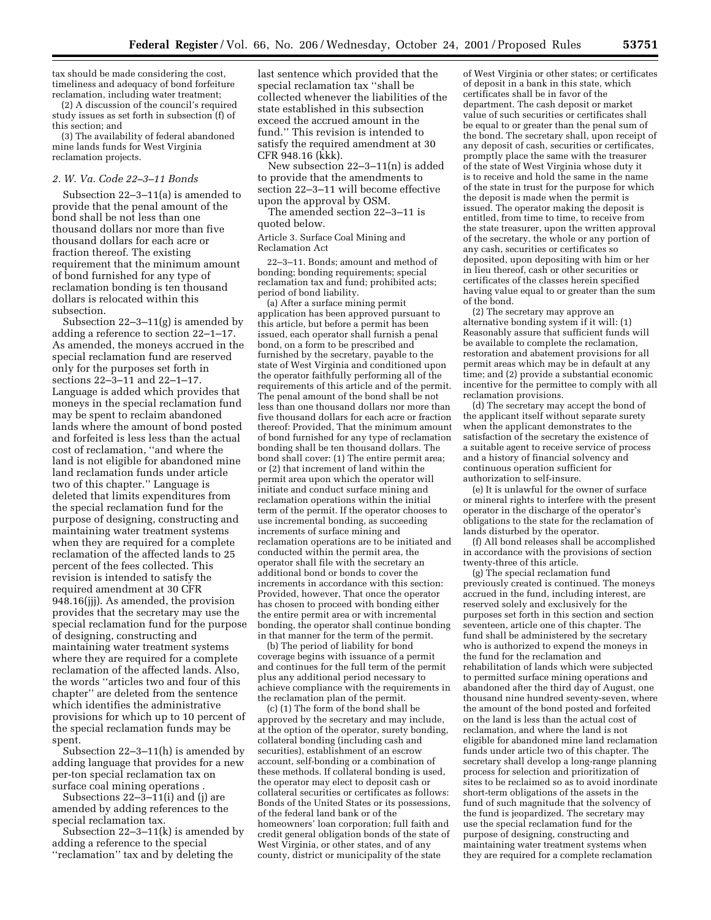tax should be made considering the cost, timeliness and adequacy of bond forfeiture reclamation, including water treatment;

(2) A discussion of the council's required study issues as set forth in subsection (f) of this section; and

(3) The availability of federal abandoned mine lands funds for West Virginia reclamation projects.

# *2. W. Va. Code 22–3–11 Bonds*

Subsection 22–3–11(a) is amended to provide that the penal amount of the bond shall be not less than one thousand dollars nor more than five thousand dollars for each acre or fraction thereof. The existing requirement that the minimum amount of bond furnished for any type of reclamation bonding is ten thousand dollars is relocated within this subsection.

Subsection  $22-3-11(g)$  is amended by adding a reference to section 22–1–17. As amended, the moneys accrued in the special reclamation fund are reserved only for the purposes set forth in sections 22–3–11 and 22–1–17. Language is added which provides that moneys in the special reclamation fund may be spent to reclaim abandoned lands where the amount of bond posted and forfeited is less less than the actual cost of reclamation, ''and where the land is not eligible for abandoned mine land reclamation funds under article two of this chapter.'' Language is deleted that limits expenditures from the special reclamation fund for the purpose of designing, constructing and maintaining water treatment systems when they are required for a complete reclamation of the affected lands to 25 percent of the fees collected. This revision is intended to satisfy the required amendment at 30 CFR 948.16(jjj). As amended, the provision provides that the secretary may use the special reclamation fund for the purpose of designing, constructing and maintaining water treatment systems where they are required for a complete reclamation of the affected lands. Also, the words ''articles two and four of this chapter'' are deleted from the sentence which identifies the administrative provisions for which up to 10 percent of the special reclamation funds may be spent.

Subsection 22–3–11(h) is amended by adding language that provides for a new per-ton special reclamation tax on surface coal mining operations .

Subsections  $22-\overline{3}-11(i)$  and (j) are amended by adding references to the special reclamation tax.

Subsection 22–3–11(k) is amended by adding a reference to the special ''reclamation'' tax and by deleting the

last sentence which provided that the special reclamation tax ''shall be collected whenever the liabilities of the state established in this subsection exceed the accrued amount in the fund.'' This revision is intended to satisfy the required amendment at 30 CFR 948.16 (kkk).

New subsection 22–3–11(n) is added to provide that the amendments to section 22–3–11 will become effective upon the approval by OSM.

The amended section 22–3–11 is quoted below.

Article 3. Surface Coal Mining and Reclamation Act

22–3–11. Bonds; amount and method of bonding; bonding requirements; special reclamation tax and fund; prohibited acts; period of bond liability.

(a) After a surface mining permit application has been approved pursuant to this article, but before a permit has been issued, each operator shall furnish a penal bond, on a form to be prescribed and furnished by the secretary, payable to the state of West Virginia and conditioned upon the operator faithfully performing all of the requirements of this article and of the permit. The penal amount of the bond shall be not less than one thousand dollars nor more than five thousand dollars for each acre or fraction thereof: Provided, That the minimum amount of bond furnished for any type of reclamation bonding shall be ten thousand dollars. The bond shall cover: (1) The entire permit area; or (2) that increment of land within the permit area upon which the operator will initiate and conduct surface mining and reclamation operations within the initial term of the permit. If the operator chooses to use incremental bonding, as succeeding increments of surface mining and reclamation operations are to be initiated and conducted within the permit area, the operator shall file with the secretary an additional bond or bonds to cover the increments in accordance with this section: Provided, however, That once the operator has chosen to proceed with bonding either the entire permit area or with incremental bonding, the operator shall continue bonding in that manner for the term of the permit.

(b) The period of liability for bond coverage begins with issuance of a permit and continues for the full term of the permit plus any additional period necessary to achieve compliance with the requirements in the reclamation plan of the permit.

(c) (1) The form of the bond shall be approved by the secretary and may include, at the option of the operator, surety bonding, collateral bonding (including cash and securities), establishment of an escrow account, self-bonding or a combination of these methods. If collateral bonding is used, the operator may elect to deposit cash or collateral securities or certificates as follows: Bonds of the United States or its possessions, of the federal land bank or of the homeowners' loan corporation; full faith and credit general obligation bonds of the state of West Virginia, or other states, and of any county, district or municipality of the state

of West Virginia or other states; or certificates of deposit in a bank in this state, which certificates shall be in favor of the department. The cash deposit or market value of such securities or certificates shall be equal to or greater than the penal sum of the bond. The secretary shall, upon receipt of any deposit of cash, securities or certificates, promptly place the same with the treasurer of the state of West Virginia whose duty it is to receive and hold the same in the name of the state in trust for the purpose for which the deposit is made when the permit is issued. The operator making the deposit is entitled, from time to time, to receive from the state treasurer, upon the written approval of the secretary, the whole or any portion of any cash, securities or certificates so deposited, upon depositing with him or her in lieu thereof, cash or other securities or certificates of the classes herein specified having value equal to or greater than the sum of the bond.

(2) The secretary may approve an alternative bonding system if it will: (1) Reasonably assure that sufficient funds will be available to complete the reclamation, restoration and abatement provisions for all permit areas which may be in default at any time; and (2) provide a substantial economic incentive for the permittee to comply with all reclamation provisions.

(d) The secretary may accept the bond of the applicant itself without separate surety when the applicant demonstrates to the satisfaction of the secretary the existence of a suitable agent to receive service of process and a history of financial solvency and continuous operation sufficient for authorization to self-insure.

(e) It is unlawful for the owner of surface or mineral rights to interfere with the present operator in the discharge of the operator's obligations to the state for the reclamation of lands disturbed by the operator.

(f) All bond releases shall be accomplished in accordance with the provisions of section twenty-three of this article.

(g) The special reclamation fund previously created is continued. The moneys accrued in the fund, including interest, are reserved solely and exclusively for the purposes set forth in this section and section seventeen, article one of this chapter. The fund shall be administered by the secretary who is authorized to expend the moneys in the fund for the reclamation and rehabilitation of lands which were subjected to permitted surface mining operations and abandoned after the third day of August, one thousand nine hundred seventy-seven, where the amount of the bond posted and forfeited on the land is less than the actual cost of reclamation, and where the land is not eligible for abandoned mine land reclamation funds under article two of this chapter. The secretary shall develop a long-range planning process for selection and prioritization of sites to be reclaimed so as to avoid inordinate short-term obligations of the assets in the fund of such magnitude that the solvency of the fund is jeopardized. The secretary may use the special reclamation fund for the purpose of designing, constructing and maintaining water treatment systems when they are required for a complete reclamation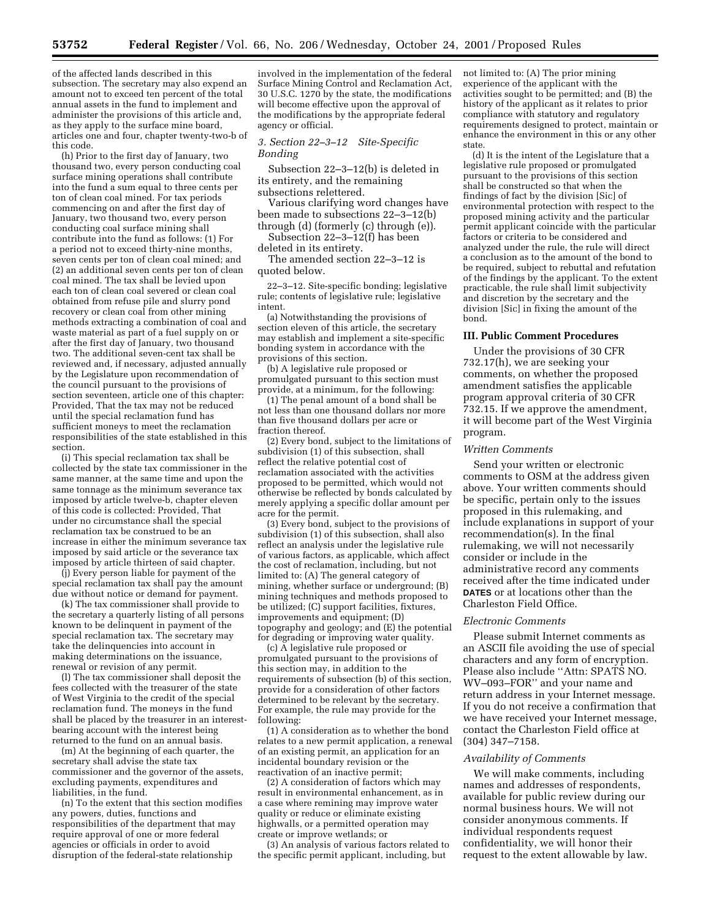of the affected lands described in this subsection. The secretary may also expend an amount not to exceed ten percent of the total annual assets in the fund to implement and administer the provisions of this article and, as they apply to the surface mine board, articles one and four, chapter twenty-two-b of this code.

(h) Prior to the first day of January, two thousand two, every person conducting coal surface mining operations shall contribute into the fund a sum equal to three cents per ton of clean coal mined. For tax periods commencing on and after the first day of January, two thousand two, every person conducting coal surface mining shall contribute into the fund as follows: (1) For a period not to exceed thirty-nine months, seven cents per ton of clean coal mined; and (2) an additional seven cents per ton of clean coal mined. The tax shall be levied upon each ton of clean coal severed or clean coal obtained from refuse pile and slurry pond recovery or clean coal from other mining methods extracting a combination of coal and waste material as part of a fuel supply on or after the first day of January, two thousand two. The additional seven-cent tax shall be reviewed and, if necessary, adjusted annually by the Legislature upon recommendation of the council pursuant to the provisions of section seventeen, article one of this chapter: Provided, That the tax may not be reduced until the special reclamation fund has sufficient moneys to meet the reclamation responsibilities of the state established in this section.

(i) This special reclamation tax shall be collected by the state tax commissioner in the same manner, at the same time and upon the same tonnage as the minimum severance tax imposed by article twelve-b, chapter eleven of this code is collected: Provided, That under no circumstance shall the special reclamation tax be construed to be an increase in either the minimum severance tax imposed by said article or the severance tax imposed by article thirteen of said chapter.

(j) Every person liable for payment of the special reclamation tax shall pay the amount due without notice or demand for payment.

(k) The tax commissioner shall provide to the secretary a quarterly listing of all persons known to be delinquent in payment of the special reclamation tax. The secretary may take the delinquencies into account in making determinations on the issuance, renewal or revision of any permit.

(l) The tax commissioner shall deposit the fees collected with the treasurer of the state of West Virginia to the credit of the special reclamation fund. The moneys in the fund shall be placed by the treasurer in an interestbearing account with the interest being returned to the fund on an annual basis.

(m) At the beginning of each quarter, the secretary shall advise the state tax commissioner and the governor of the assets, excluding payments, expenditures and liabilities, in the fund.

(n) To the extent that this section modifies any powers, duties, functions and responsibilities of the department that may require approval of one or more federal agencies or officials in order to avoid disruption of the federal-state relationship

involved in the implementation of the federal Surface Mining Control and Reclamation Act, 30 U.S.C. 1270 by the state, the modifications will become effective upon the approval of the modifications by the appropriate federal agency or official.

# *3. Section 22–3–12 Site-Specific Bonding*

Subsection 22–3–12(b) is deleted in its entirety, and the remaining subsections relettered.

Various clarifying word changes have been made to subsections 22–3–12(b) through (d) (formerly (c) through (e)).

Subsection 22–3–12(f) has been deleted in its entirety.

The amended section 22–3–12 is quoted below.

22–3–12. Site-specific bonding; legislative rule; contents of legislative rule; legislative intent.

(a) Notwithstanding the provisions of section eleven of this article, the secretary may establish and implement a site-specific bonding system in accordance with the provisions of this section.

(b) A legislative rule proposed or promulgated pursuant to this section must provide, at a minimum, for the following:

(1) The penal amount of a bond shall be not less than one thousand dollars nor more than five thousand dollars per acre or fraction thereof.

(2) Every bond, subject to the limitations of subdivision (1) of this subsection, shall reflect the relative potential cost of reclamation associated with the activities proposed to be permitted, which would not otherwise be reflected by bonds calculated by merely applying a specific dollar amount per acre for the permit.

(3) Every bond, subject to the provisions of subdivision (1) of this subsection, shall also reflect an analysis under the legislative rule of various factors, as applicable, which affect the cost of reclamation, including, but not limited to: (A) The general category of mining, whether surface or underground; (B) mining techniques and methods proposed to be utilized; (C) support facilities, fixtures, improvements and equipment; (D) topography and geology; and (E) the potential for degrading or improving water quality.

(c) A legislative rule proposed or promulgated pursuant to the provisions of this section may, in addition to the requirements of subsection (b) of this section, provide for a consideration of other factors determined to be relevant by the secretary. For example, the rule may provide for the following:

(1) A consideration as to whether the bond relates to a new permit application, a renewal of an existing permit, an application for an incidental boundary revision or the reactivation of an inactive permit;

(2) A consideration of factors which may result in environmental enhancement, as in a case where remining may improve water quality or reduce or eliminate existing highwalls, or a permitted operation may create or improve wetlands; or

(3) An analysis of various factors related to the specific permit applicant, including, but

not limited to: (A) The prior mining experience of the applicant with the activities sought to be permitted; and (B) the history of the applicant as it relates to prior compliance with statutory and regulatory requirements designed to protect, maintain or enhance the environment in this or any other state.

(d) It is the intent of the Legislature that a legislative rule proposed or promulgated pursuant to the provisions of this section shall be constructed so that when the findings of fact by the division [Sic] of environmental protection with respect to the proposed mining activity and the particular permit applicant coincide with the particular factors or criteria to be considered and analyzed under the rule, the rule will direct a conclusion as to the amount of the bond to be required, subject to rebuttal and refutation of the findings by the applicant. To the extent practicable, the rule shall limit subjectivity and discretion by the secretary and the division [Sic] in fixing the amount of the bond.

#### **III. Public Comment Procedures**

Under the provisions of 30 CFR 732.17(h), we are seeking your comments, on whether the proposed amendment satisfies the applicable program approval criteria of 30 CFR 732.15. If we approve the amendment, it will become part of the West Virginia program.

#### *Written Comments*

Send your written or electronic comments to OSM at the address given above. Your written comments should be specific, pertain only to the issues proposed in this rulemaking, and include explanations in support of your recommendation(s). In the final rulemaking, we will not necessarily consider or include in the administrative record any comments received after the time indicated under **DATES** or at locations other than the Charleston Field Office.

#### *Electronic Comments*

Please submit Internet comments as an ASCII file avoiding the use of special characters and any form of encryption. Please also include ''Attn: SPATS NO. WV–093–FOR'' and your name and return address in your Internet message. If you do not receive a confirmation that we have received your Internet message, contact the Charleston Field office at (304) 347–7158.

### *Availability of Comments*

We will make comments, including names and addresses of respondents, available for public review during our normal business hours. We will not consider anonymous comments. If individual respondents request confidentiality, we will honor their request to the extent allowable by law.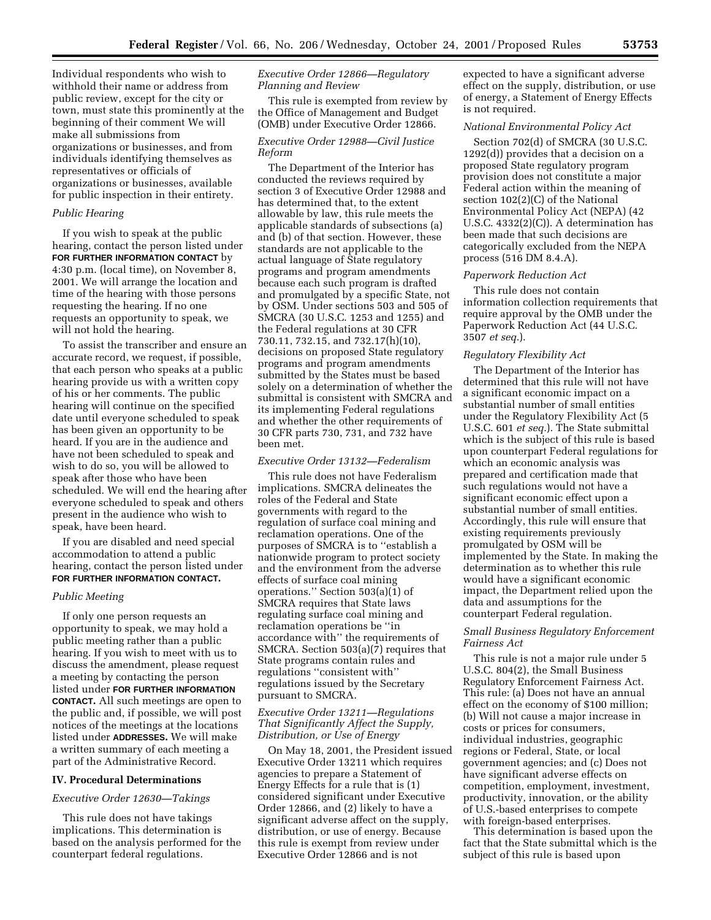Individual respondents who wish to withhold their name or address from public review, except for the city or town, must state this prominently at the beginning of their comment We will make all submissions from organizations or businesses, and from individuals identifying themselves as representatives or officials of organizations or businesses, available for public inspection in their entirety.

### *Public Hearing*

If you wish to speak at the public hearing, contact the person listed under **FOR FURTHER INFORMATION CONTACT** by 4:30 p.m. (local time), on November 8, 2001. We will arrange the location and time of the hearing with those persons requesting the hearing. If no one requests an opportunity to speak, we will not hold the hearing.

To assist the transcriber and ensure an accurate record, we request, if possible, that each person who speaks at a public hearing provide us with a written copy of his or her comments. The public hearing will continue on the specified date until everyone scheduled to speak has been given an opportunity to be heard. If you are in the audience and have not been scheduled to speak and wish to do so, you will be allowed to speak after those who have been scheduled. We will end the hearing after everyone scheduled to speak and others present in the audience who wish to speak, have been heard.

If you are disabled and need special accommodation to attend a public hearing, contact the person listed under **FOR FURTHER INFORMATION CONTACT.**

#### *Public Meeting*

If only one person requests an opportunity to speak, we may hold a public meeting rather than a public hearing. If you wish to meet with us to discuss the amendment, please request a meeting by contacting the person listed under **FOR FURTHER INFORMATION CONTACT.** All such meetings are open to the public and, if possible, we will post notices of the meetings at the locations listed under **ADDRESSES.** We will make a written summary of each meeting a part of the Administrative Record.

### **IV. Procedural Determinations**

# *Executive Order 12630—Takings*

This rule does not have takings implications. This determination is based on the analysis performed for the counterpart federal regulations.

# *Executive Order 12866—Regulatory Planning and Review*

This rule is exempted from review by the Office of Management and Budget (OMB) under Executive Order 12866.

# *Executive Order 12988—Civil Justice Reform*

The Department of the Interior has conducted the reviews required by section 3 of Executive Order 12988 and has determined that, to the extent allowable by law, this rule meets the applicable standards of subsections (a) and (b) of that section. However, these standards are not applicable to the actual language of State regulatory programs and program amendments because each such program is drafted and promulgated by a specific State, not by OSM. Under sections 503 and 505 of SMCRA (30 U.S.C. 1253 and 1255) and the Federal regulations at 30 CFR 730.11, 732.15, and 732.17(h)(10), decisions on proposed State regulatory programs and program amendments submitted by the States must be based solely on a determination of whether the submittal is consistent with SMCRA and its implementing Federal regulations and whether the other requirements of 30 CFR parts 730, 731, and 732 have been met.

### *Executive Order 13132—Federalism*

This rule does not have Federalism implications. SMCRA delineates the roles of the Federal and State governments with regard to the regulation of surface coal mining and reclamation operations. One of the purposes of SMCRA is to ''establish a nationwide program to protect society and the environment from the adverse effects of surface coal mining operations.'' Section 503(a)(1) of SMCRA requires that State laws regulating surface coal mining and reclamation operations be ''in accordance with'' the requirements of SMCRA. Section 503(a)(7) requires that State programs contain rules and regulations ''consistent with'' regulations issued by the Secretary pursuant to SMCRA.

# *Executive Order 13211—Regulations That Significantly Affect the Supply, Distribution, or Use of Energy*

On May 18, 2001, the President issued Executive Order 13211 which requires agencies to prepare a Statement of Energy Effects for a rule that is (1) considered significant under Executive Order 12866, and (2) likely to have a significant adverse affect on the supply, distribution, or use of energy. Because this rule is exempt from review under Executive Order 12866 and is not

expected to have a significant adverse effect on the supply, distribution, or use of energy, a Statement of Energy Effects is not required.

# *National Environmental Policy Act*

Section 702(d) of SMCRA (30 U.S.C. 1292(d)) provides that a decision on a proposed State regulatory program provision does not constitute a major Federal action within the meaning of section 102(2)(C) of the National Environmental Policy Act (NEPA) (42 U.S.C. 4332(2)(C)). A determination has been made that such decisions are categorically excluded from the NEPA process (516 DM 8.4.A).

## *Paperwork Reduction Act*

This rule does not contain information collection requirements that require approval by the OMB under the Paperwork Reduction Act (44 U.S.C. 3507 *et seq.*).

### *Regulatory Flexibility Act*

The Department of the Interior has determined that this rule will not have a significant economic impact on a substantial number of small entities under the Regulatory Flexibility Act (5 U.S.C. 601 *et seq.*). The State submittal which is the subject of this rule is based upon counterpart Federal regulations for which an economic analysis was prepared and certification made that such regulations would not have a significant economic effect upon a substantial number of small entities. Accordingly, this rule will ensure that existing requirements previously promulgated by OSM will be implemented by the State. In making the determination as to whether this rule would have a significant economic impact, the Department relied upon the data and assumptions for the counterpart Federal regulation.

# *Small Business Regulatory Enforcement Fairness Act*

This rule is not a major rule under 5 U.S.C. 804(2), the Small Business Regulatory Enforcement Fairness Act. This rule: (a) Does not have an annual effect on the economy of \$100 million; (b) Will not cause a major increase in costs or prices for consumers, individual industries, geographic regions or Federal, State, or local government agencies; and (c) Does not have significant adverse effects on competition, employment, investment, productivity, innovation, or the ability of U.S.-based enterprises to compete with foreign-based enterprises.

This determination is based upon the fact that the State submittal which is the subject of this rule is based upon